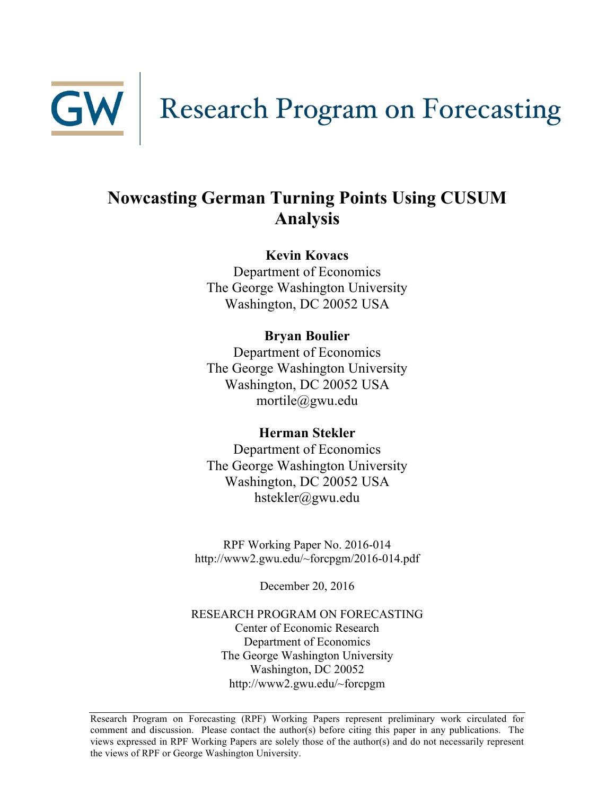

GW | Research Program on Forecasting

# **Nowcasting German Turning Points Using CUSUM Analysis**

**Kevin Kovacs**

Department of Economics The George Washington University Washington, DC 20052 USA

**Bryan Boulier**

Department of Economics The George Washington University Washington, DC 20052 USA mortile@gwu.edu

# **Herman Stekler**

Department of Economics The George Washington University Washington, DC 20052 USA hstekler@gwu.edu

RPF Working Paper No. 2016-014 http://www2.gwu.edu/~forcpgm/2016-014.pdf

December 20, 2016

RESEARCH PROGRAM ON FORECASTING Center of Economic Research Department of Economics The George Washington University Washington, DC 20052 http://www2.gwu.edu/~forcpgm

Research Program on Forecasting (RPF) Working Papers represent preliminary work circulated for comment and discussion. Please contact the author(s) before citing this paper in any publications. The views expressed in RPF Working Papers are solely those of the author(s) and do not necessarily represent the views of RPF or George Washington University.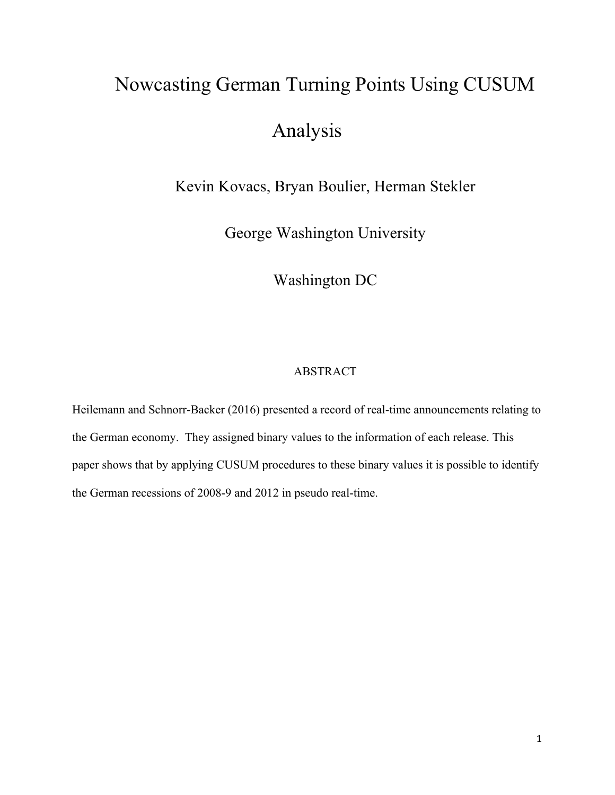# Nowcasting German Turning Points Using CUSUM Analysis

Kevin Kovacs, Bryan Boulier, Herman Stekler

George Washington University

Washington DC

# ABSTRACT

Heilemann and Schnorr-Backer (2016) presented a record of real-time announcements relating to the German economy. They assigned binary values to the information of each release. This paper shows that by applying CUSUM procedures to these binary values it is possible to identify the German recessions of 2008-9 and 2012 in pseudo real-time.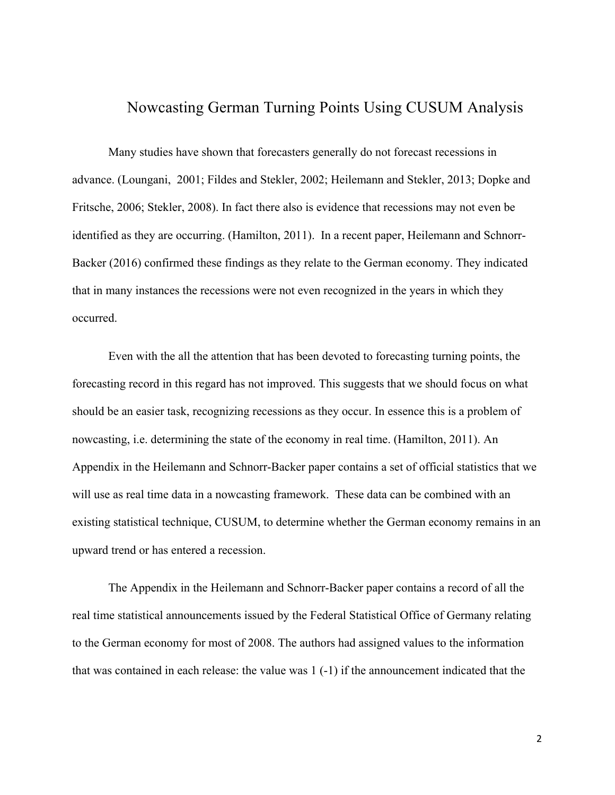# Nowcasting German Turning Points Using CUSUM Analysis

Many studies have shown that forecasters generally do not forecast recessions in advance. (Loungani, 2001; Fildes and Stekler, 2002; Heilemann and Stekler, 2013; Dopke and Fritsche, 2006; Stekler, 2008). In fact there also is evidence that recessions may not even be identified as they are occurring. (Hamilton, 2011). In a recent paper, Heilemann and Schnorr-Backer (2016) confirmed these findings as they relate to the German economy. They indicated that in many instances the recessions were not even recognized in the years in which they occurred.

Even with the all the attention that has been devoted to forecasting turning points, the forecasting record in this regard has not improved. This suggests that we should focus on what should be an easier task, recognizing recessions as they occur. In essence this is a problem of nowcasting, i.e. determining the state of the economy in real time. (Hamilton, 2011). An Appendix in the Heilemann and Schnorr-Backer paper contains a set of official statistics that we will use as real time data in a nowcasting framework. These data can be combined with an existing statistical technique, CUSUM, to determine whether the German economy remains in an upward trend or has entered a recession.

The Appendix in the Heilemann and Schnorr-Backer paper contains a record of all the real time statistical announcements issued by the Federal Statistical Office of Germany relating to the German economy for most of 2008. The authors had assigned values to the information that was contained in each release: the value was 1 (-1) if the announcement indicated that the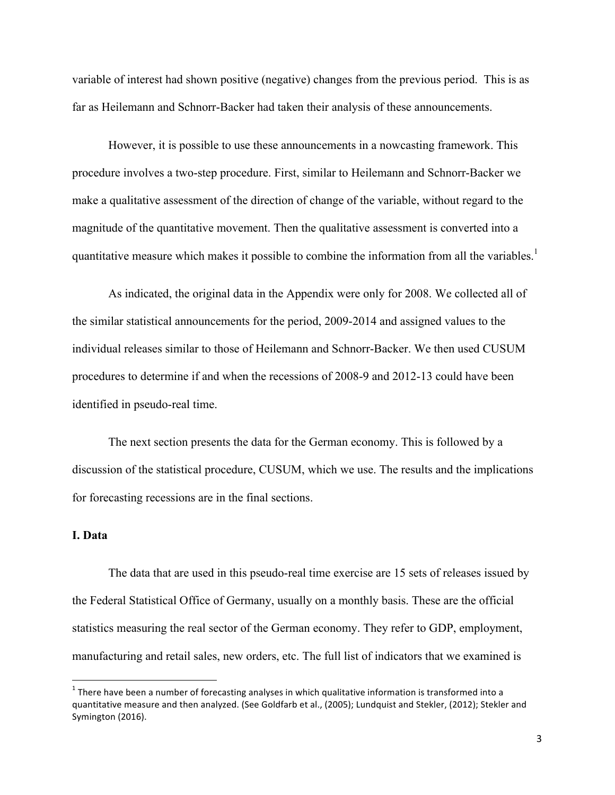variable of interest had shown positive (negative) changes from the previous period. This is as far as Heilemann and Schnorr-Backer had taken their analysis of these announcements.

However, it is possible to use these announcements in a nowcasting framework. This procedure involves a two-step procedure. First, similar to Heilemann and Schnorr-Backer we make a qualitative assessment of the direction of change of the variable, without regard to the magnitude of the quantitative movement. Then the qualitative assessment is converted into a quantitative measure which makes it possible to combine the information from all the variables.<sup>1</sup>

As indicated, the original data in the Appendix were only for 2008. We collected all of the similar statistical announcements for the period, 2009-2014 and assigned values to the individual releases similar to those of Heilemann and Schnorr-Backer. We then used CUSUM procedures to determine if and when the recessions of 2008-9 and 2012-13 could have been identified in pseudo-real time.

The next section presents the data for the German economy. This is followed by a discussion of the statistical procedure, CUSUM, which we use. The results and the implications for forecasting recessions are in the final sections.

#### **I. Data**

!!!!!!!!!!!!!!!!!!!!!!!!!!!!!!!!!!!!!!!!!!!!!!!!!!!!!!!!!!!!

The data that are used in this pseudo-real time exercise are 15 sets of releases issued by the Federal Statistical Office of Germany, usually on a monthly basis. These are the official statistics measuring the real sector of the German economy. They refer to GDP, employment, manufacturing and retail sales, new orders, etc. The full list of indicators that we examined is

 $1$  There have been a number of forecasting analyses in which qualitative information is transformed into a quantitative measure and then analyzed. (See Goldfarb et al., (2005); Lundquist and Stekler, (2012); Stekler and Symington (2016).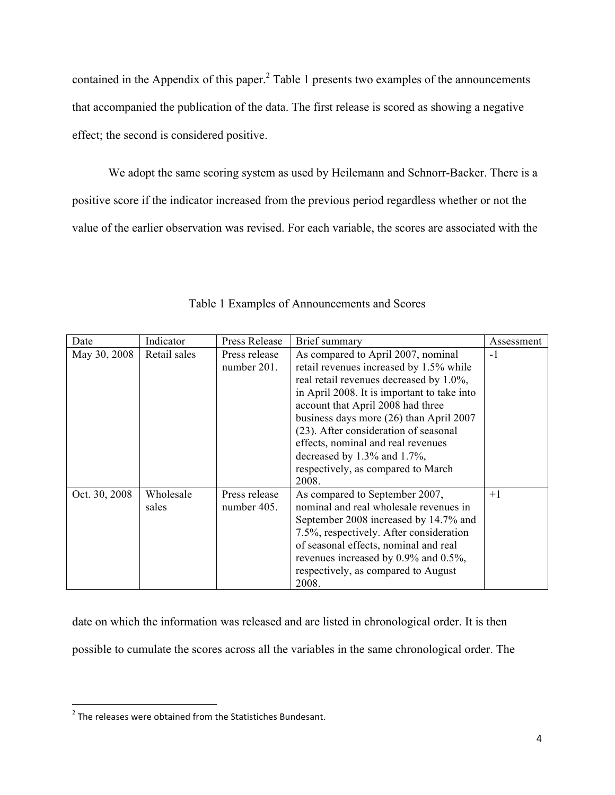contained in the Appendix of this paper.<sup>2</sup> Table 1 presents two examples of the announcements that accompanied the publication of the data. The first release is scored as showing a negative effect; the second is considered positive.

We adopt the same scoring system as used by Heilemann and Schnorr-Backer. There is a positive score if the indicator increased from the previous period regardless whether or not the value of the earlier observation was revised. For each variable, the scores are associated with the

| Date          | Indicator          | Press Release                | Brief summary                                                                                                                                                                                                                                                                                                                                                                                                               | Assessment |
|---------------|--------------------|------------------------------|-----------------------------------------------------------------------------------------------------------------------------------------------------------------------------------------------------------------------------------------------------------------------------------------------------------------------------------------------------------------------------------------------------------------------------|------------|
| May 30, 2008  | Retail sales       | Press release<br>number 201. | As compared to April 2007, nominal<br>retail revenues increased by 1.5% while<br>real retail revenues decreased by 1.0%,<br>in April 2008. It is important to take into<br>account that April 2008 had three<br>business days more (26) than April 2007<br>(23). After consideration of seasonal<br>effects, nominal and real revenues<br>decreased by $1.3\%$ and $1.7\%$ ,<br>respectively, as compared to March<br>2008. | $-1$       |
| Oct. 30, 2008 | Wholesale<br>sales | Press release<br>number 405. | As compared to September 2007,<br>nominal and real wholesale revenues in<br>September 2008 increased by 14.7% and<br>7.5%, respectively. After consideration<br>of seasonal effects, nominal and real<br>revenues increased by $0.9\%$ and $0.5\%$ ,<br>respectively, as compared to August<br>2008.                                                                                                                        | $+1$       |

Table 1 Examples of Announcements and Scores

date on which the information was released and are listed in chronological order. It is then possible to cumulate the scores across all the variables in the same chronological order. The

!!!!!!!!!!!!!!!!!!!!!!!!!!!!!!!!!!!!!!!!!!!!!!!!!!!!!!!!!!!!

 $2$  The releases were obtained from the Statistiches Bundesant.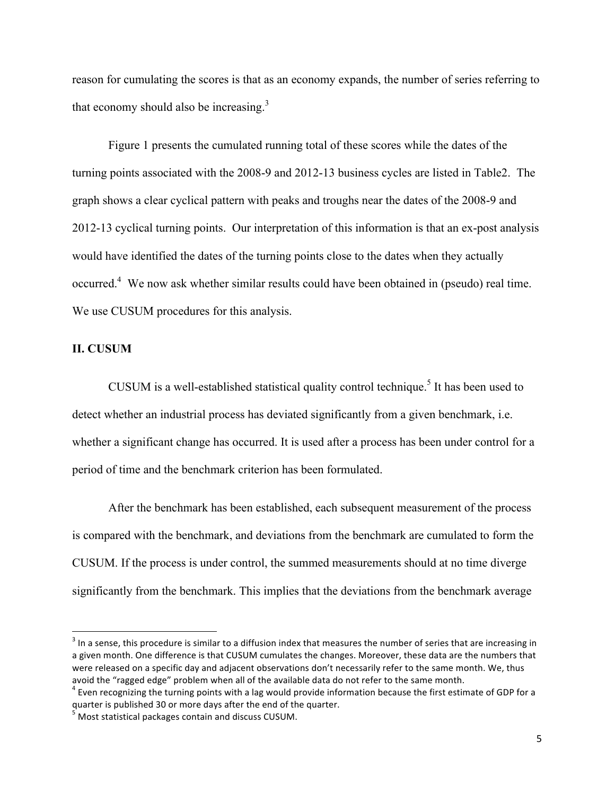reason for cumulating the scores is that as an economy expands, the number of series referring to that economy should also be increasing.<sup>3</sup>

Figure 1 presents the cumulated running total of these scores while the dates of the turning points associated with the 2008-9 and 2012-13 business cycles are listed in Table2. The graph shows a clear cyclical pattern with peaks and troughs near the dates of the 2008-9 and 2012-13 cyclical turning points. Our interpretation of this information is that an ex-post analysis would have identified the dates of the turning points close to the dates when they actually occurred.<sup>4</sup> We now ask whether similar results could have been obtained in (pseudo) real time. We use CUSUM procedures for this analysis.

# **II. CUSUM**

CUSUM is a well-established statistical quality control technique.<sup>5</sup> It has been used to detect whether an industrial process has deviated significantly from a given benchmark, i.e. whether a significant change has occurred. It is used after a process has been under control for a period of time and the benchmark criterion has been formulated.

After the benchmark has been established, each subsequent measurement of the process is compared with the benchmark, and deviations from the benchmark are cumulated to form the CUSUM. If the process is under control, the summed measurements should at no time diverge significantly from the benchmark. This implies that the deviations from the benchmark average

!!!!!!!!!!!!!!!!!!!!!!!!!!!!!!!!!!!!!!!!!!!!!!!!!!!!!!!!!!!!

 $3$  In a sense, this procedure is similar to a diffusion index that measures the number of series that are increasing in a given month. One difference is that CUSUM cumulates the changes. Moreover, these data are the numbers that were released on a specific day and adjacent observations don't necessarily refer to the same month. We, thus

avoid the "ragged edge" problem when all of the available data do not refer to the same month.<br><sup>4</sup> Even recognizing the turning points with a lag would provide information because the first estimate of GDP for a quarter is published 30 or more days after the end of the quarter.

 $<sup>5</sup>$  Most statistical packages contain and discuss CUSUM.</sup>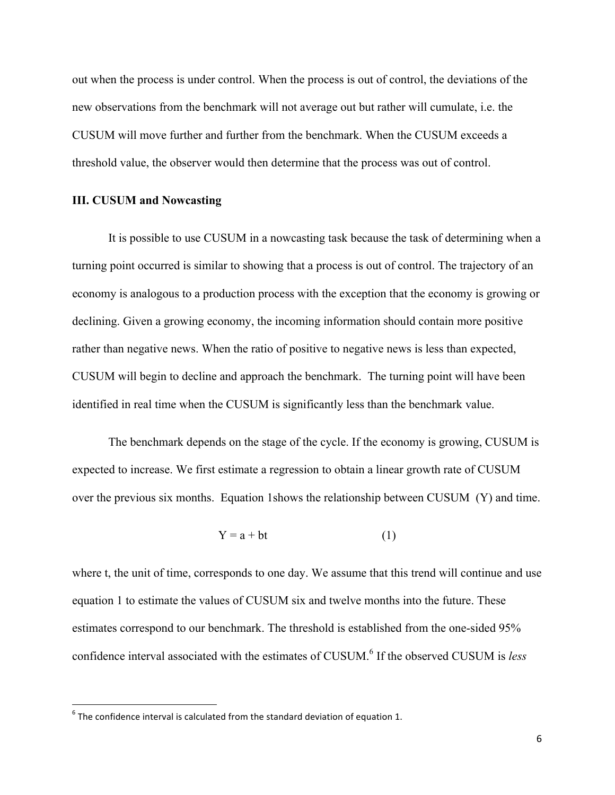out when the process is under control. When the process is out of control, the deviations of the new observations from the benchmark will not average out but rather will cumulate, i.e. the CUSUM will move further and further from the benchmark. When the CUSUM exceeds a threshold value, the observer would then determine that the process was out of control.

#### **III. CUSUM and Nowcasting**

It is possible to use CUSUM in a nowcasting task because the task of determining when a turning point occurred is similar to showing that a process is out of control. The trajectory of an economy is analogous to a production process with the exception that the economy is growing or declining. Given a growing economy, the incoming information should contain more positive rather than negative news. When the ratio of positive to negative news is less than expected, CUSUM will begin to decline and approach the benchmark. The turning point will have been identified in real time when the CUSUM is significantly less than the benchmark value.

The benchmark depends on the stage of the cycle. If the economy is growing, CUSUM is expected to increase. We first estimate a regression to obtain a linear growth rate of CUSUM over the previous six months. Equation 1shows the relationship between CUSUM (Y) and time.

 $Y = a + bt$  (1)

where t, the unit of time, corresponds to one day. We assume that this trend will continue and use equation 1 to estimate the values of CUSUM six and twelve months into the future. These estimates correspond to our benchmark. The threshold is established from the one-sided 95% confidence interval associated with the estimates of CUSUM.<sup>6</sup> If the observed CUSUM is *less* 

!!!!!!!!!!!!!!!!!!!!!!!!!!!!!!!!!!!!!!!!!!!!!!!!!!!!!!!!!!!!

 $6$  The confidence interval is calculated from the standard deviation of equation 1.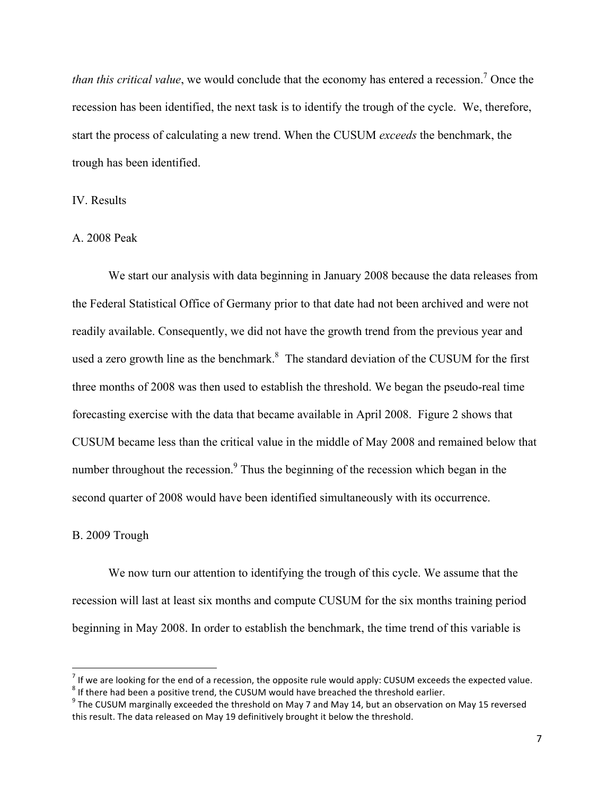*than this critical value*, we would conclude that the economy has entered a recession.<sup>7</sup> Once the recession has been identified, the next task is to identify the trough of the cycle. We, therefore, start the process of calculating a new trend. When the CUSUM *exceeds* the benchmark, the trough has been identified.

# IV. Results

# A. 2008 Peak

We start our analysis with data beginning in January 2008 because the data releases from the Federal Statistical Office of Germany prior to that date had not been archived and were not readily available. Consequently, we did not have the growth trend from the previous year and used a zero growth line as the benchmark. $8\text{ The standard deviation of the CUSUM for the first}$ three months of 2008 was then used to establish the threshold. We began the pseudo-real time forecasting exercise with the data that became available in April 2008. Figure 2 shows that CUSUM became less than the critical value in the middle of May 2008 and remained below that number throughout the recession.<sup>9</sup> Thus the beginning of the recession which began in the second quarter of 2008 would have been identified simultaneously with its occurrence.

#### B. 2009 Trough

!!!!!!!!!!!!!!!!!!!!!!!!!!!!!!!!!!!!!!!!!!!!!!!!!!!!!!!!!!!!

We now turn our attention to identifying the trough of this cycle. We assume that the recession will last at least six months and compute CUSUM for the six months training period beginning in May 2008. In order to establish the benchmark, the time trend of this variable is

<sup>&</sup>lt;sup>7</sup> If we are looking for the end of a recession, the opposite rule would apply: CUSUM exceeds the expected value.<br><sup>8</sup> If there had been a positive trend, the CUSUM would have breached the threshold earlier.

 $^9$  The CUSUM marginally exceeded the threshold on May 7 and May 14, but an observation on May 15 reversed this result. The data released on May 19 definitively brought it below the threshold.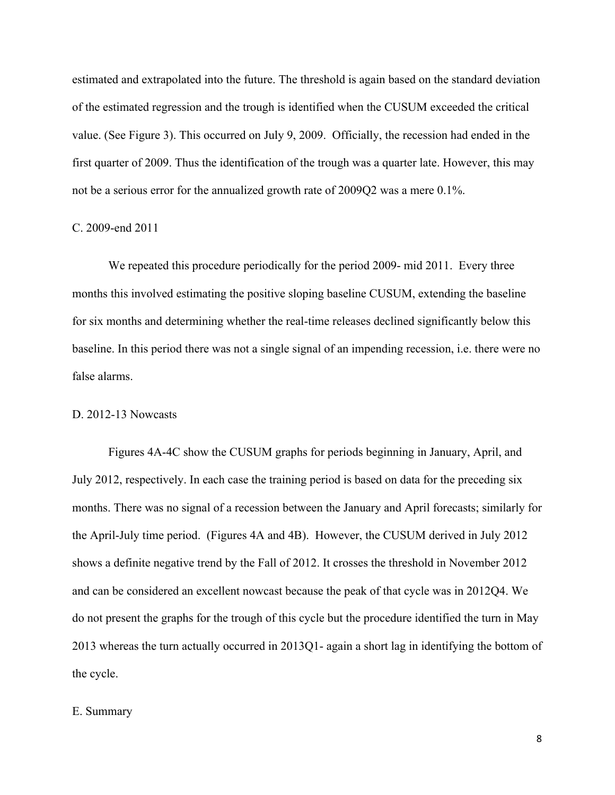estimated and extrapolated into the future. The threshold is again based on the standard deviation of the estimated regression and the trough is identified when the CUSUM exceeded the critical value. (See Figure 3). This occurred on July 9, 2009. Officially, the recession had ended in the first quarter of 2009. Thus the identification of the trough was a quarter late. However, this may not be a serious error for the annualized growth rate of 2009Q2 was a mere 0.1%.

#### C. 2009-end 2011

We repeated this procedure periodically for the period 2009- mid 2011. Every three months this involved estimating the positive sloping baseline CUSUM, extending the baseline for six months and determining whether the real-time releases declined significantly below this baseline. In this period there was not a single signal of an impending recession, i.e. there were no false alarms.

#### D. 2012-13 Nowcasts

Figures 4A-4C show the CUSUM graphs for periods beginning in January, April, and July 2012, respectively. In each case the training period is based on data for the preceding six months. There was no signal of a recession between the January and April forecasts; similarly for the April-July time period. (Figures 4A and 4B). However, the CUSUM derived in July 2012 shows a definite negative trend by the Fall of 2012. It crosses the threshold in November 2012 and can be considered an excellent nowcast because the peak of that cycle was in 2012Q4. We do not present the graphs for the trough of this cycle but the procedure identified the turn in May 2013 whereas the turn actually occurred in 2013Q1- again a short lag in identifying the bottom of the cycle.

#### E. Summary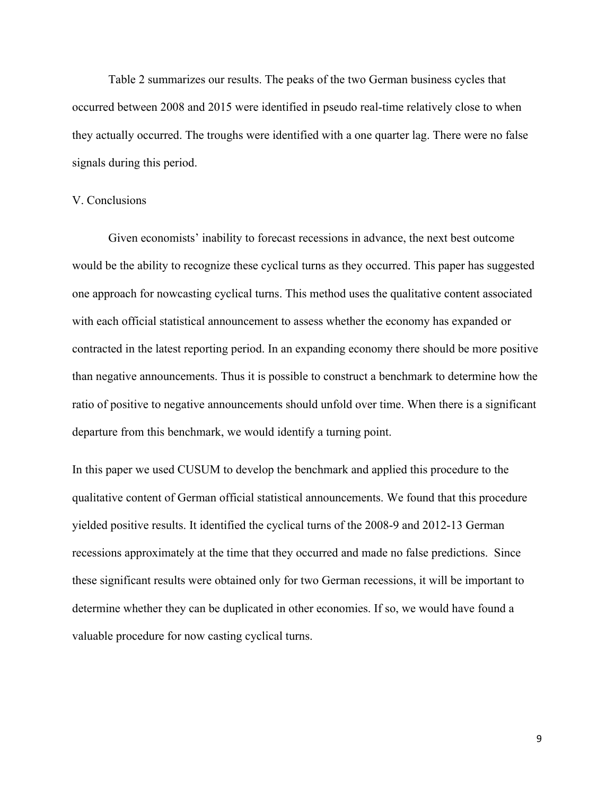Table 2 summarizes our results. The peaks of the two German business cycles that occurred between 2008 and 2015 were identified in pseudo real-time relatively close to when they actually occurred. The troughs were identified with a one quarter lag. There were no false signals during this period.

#### V. Conclusions

Given economists' inability to forecast recessions in advance, the next best outcome would be the ability to recognize these cyclical turns as they occurred. This paper has suggested one approach for nowcasting cyclical turns. This method uses the qualitative content associated with each official statistical announcement to assess whether the economy has expanded or contracted in the latest reporting period. In an expanding economy there should be more positive than negative announcements. Thus it is possible to construct a benchmark to determine how the ratio of positive to negative announcements should unfold over time. When there is a significant departure from this benchmark, we would identify a turning point.

In this paper we used CUSUM to develop the benchmark and applied this procedure to the qualitative content of German official statistical announcements. We found that this procedure yielded positive results. It identified the cyclical turns of the 2008-9 and 2012-13 German recessions approximately at the time that they occurred and made no false predictions. Since these significant results were obtained only for two German recessions, it will be important to determine whether they can be duplicated in other economies. If so, we would have found a valuable procedure for now casting cyclical turns.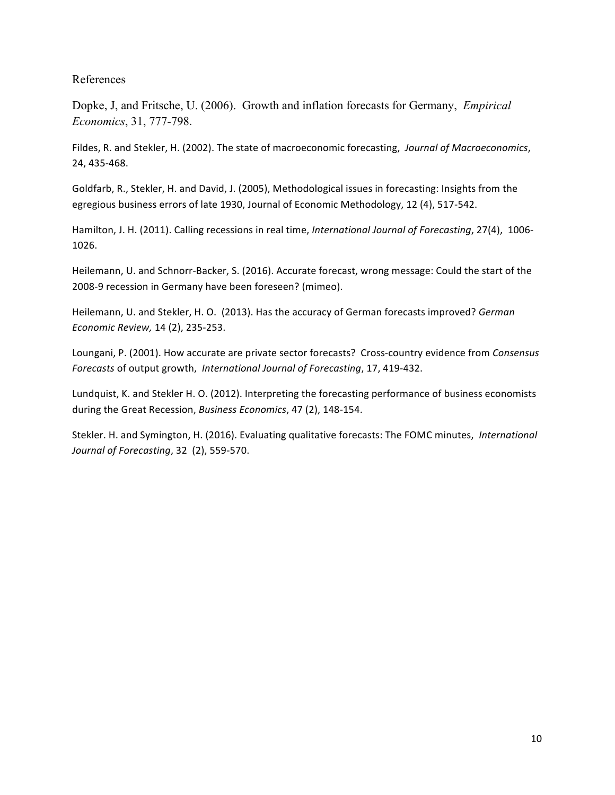## References

Dopke, J, and Fritsche, U. (2006). Growth and inflation forecasts for Germany, *Empirical Economics*, 31, 777-798.

Fildes, R. and Stekler, H. (2002). The state of macroeconomic forecasting, Journal of Macroeconomics, 24, 435-468.

Goldfarb, R., Stekler, H. and David, J. (2005), Methodological issues in forecasting: Insights from the egregious business errors of late 1930, Journal of Economic Methodology, 12 (4), 517-542.

Hamilton, J. H. (2011). Calling recessions in real time, *International Journal of Forecasting*, 27(4), 1006-1026.

Heilemann, U. and Schnorr-Backer, S. (2016). Accurate forecast, wrong message: Could the start of the 2008-9 recession in Germany have been foreseen? (mimeo).

Heilemann, U. and Stekler, H. O. (2013). Has the accuracy of German forecasts improved? German *Economic Review, 14 (2), 235-253.* 

Loungani, P. (2001). How accurate are private sector forecasts? Cross-country evidence from *Consensus Forecasts* of output growth, International Journal of Forecasting, 17, 419-432.

Lundquist, K. and Stekler H. O. (2012). Interpreting the forecasting performance of business economists during the Great Recession, *Business Economics*, 47 (2), 148-154.

Stekler. H. and Symington, H. (2016). Evaluating qualitative forecasts: The FOMC minutes, *International Journal of Forecasting*, 32 (2), 559-570.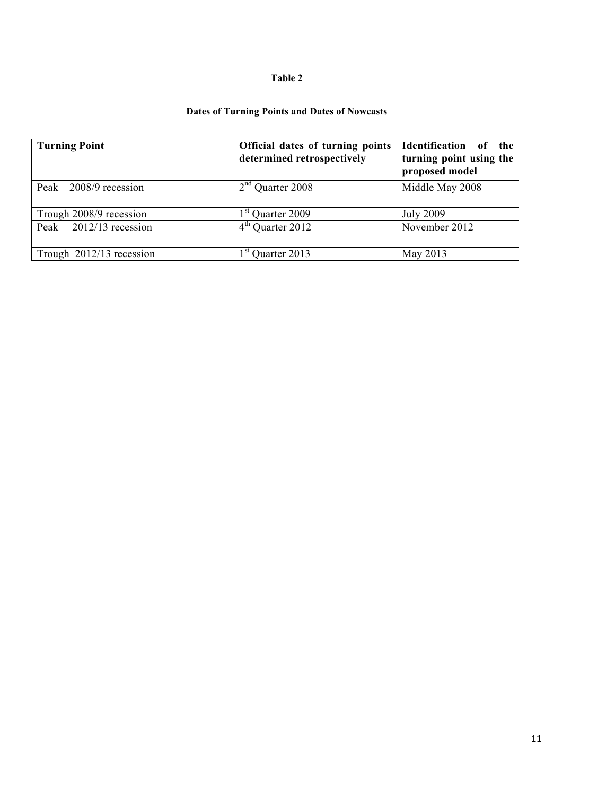#### **Table 2**

# **Dates of Turning Points and Dates of Nowcasts**

| <b>Turning Point</b>        | Official dates of turning points<br>determined retrospectively | Identification<br>the<br>0f<br>turning point using the<br>proposed model |
|-----------------------------|----------------------------------------------------------------|--------------------------------------------------------------------------|
| Peak 2008/9 recession       | $2nd$ Quarter 2008                                             | Middle May 2008                                                          |
| Trough 2008/9 recession     | 1 <sup>st</sup> Quarter 2009                                   | <b>July 2009</b>                                                         |
| $2012/13$ recession<br>Peak | $4th$ Quarter 2012                                             | November 2012                                                            |
| Trough 2012/13 recession    | $1st$ Quarter 2013                                             | May 2013                                                                 |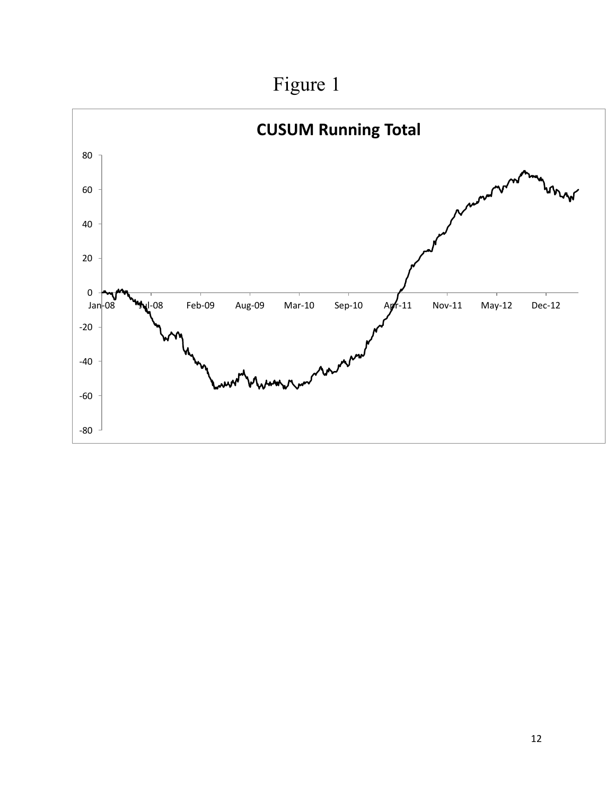

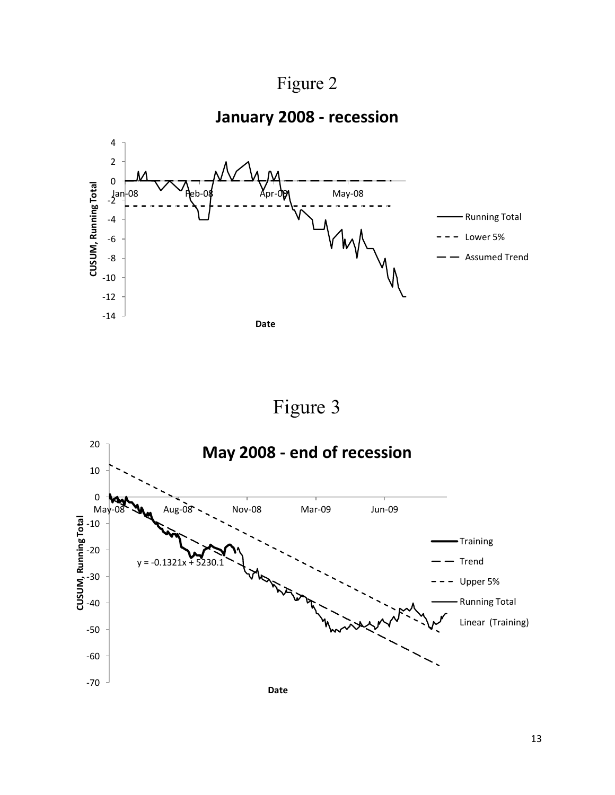Figure 2

**January 2008 - recession** 



Figure 3

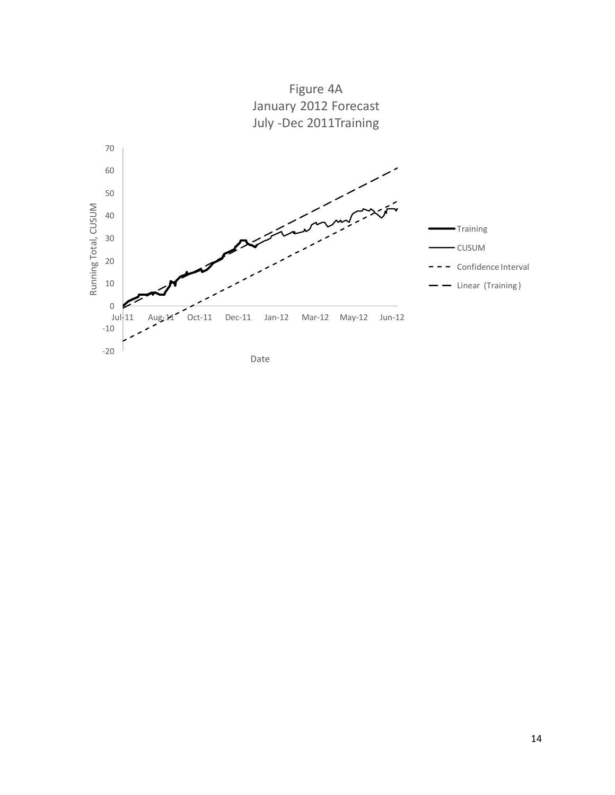

Figure 4A January 2012 Forecast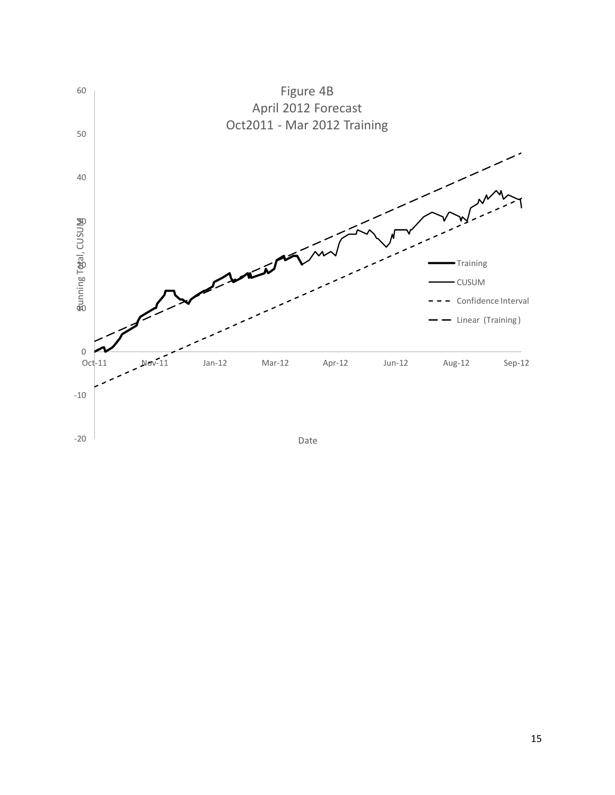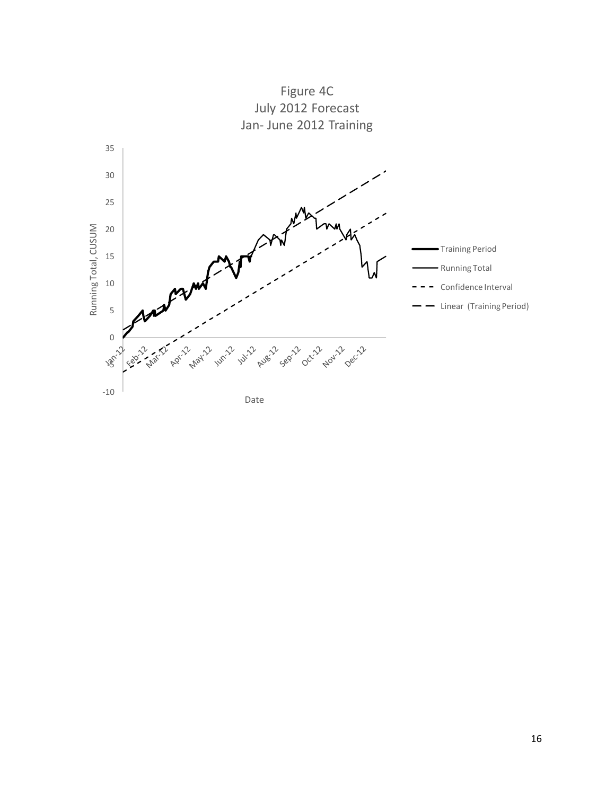